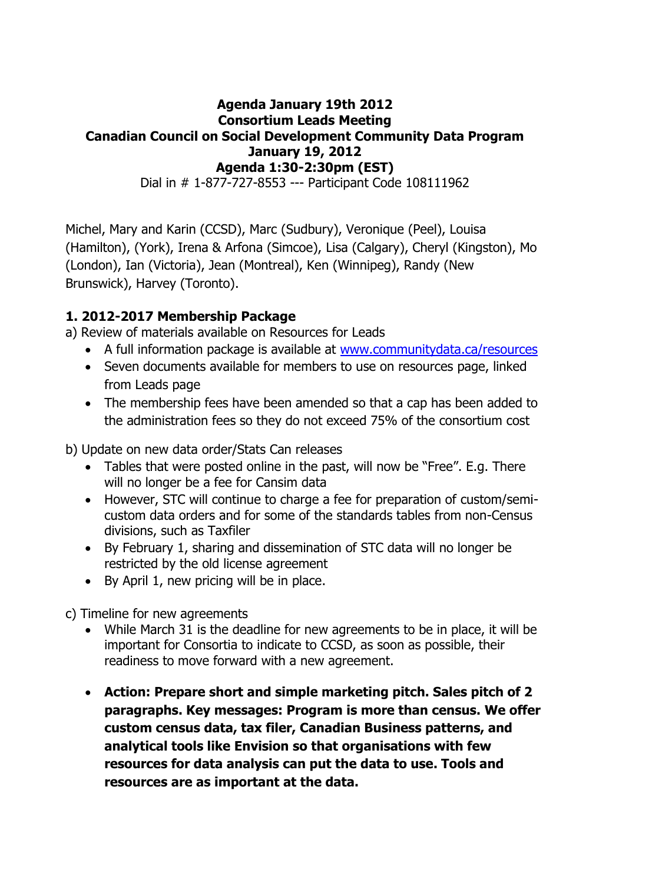#### **Agenda January 19th 2012 Consortium Leads Meeting Canadian Council on Social Development Community Data Program January 19, 2012 Agenda 1:30-2:30pm (EST)**

Dial in # 1-877-727-8553 --- Participant Code 108111962

Michel, Mary and Karin (CCSD), Marc (Sudbury), Veronique (Peel), Louisa (Hamilton), (York), Irena & Arfona (Simcoe), Lisa (Calgary), Cheryl (Kingston), Mo (London), Ian (Victoria), Jean (Montreal), Ken (Winnipeg), Randy (New Brunswick), Harvey (Toronto).

## **1. 2012-2017 Membership Package**

a) Review of materials available on Resources for Leads

- A full information package is available at [www.communitydata.ca/resources](http://www.communitydata.ca/resources)
- Seven documents available for members to use on resources page, linked from Leads page
- The membership fees have been amended so that a cap has been added to the administration fees so they do not exceed 75% of the consortium cost

b) Update on new data order/Stats Can releases

- Tables that were posted online in the past, will now be "Free". E.g. There will no longer be a fee for Cansim data
- However, STC will continue to charge a fee for preparation of custom/semicustom data orders and for some of the standards tables from non-Census divisions, such as Taxfiler
- By February 1, sharing and dissemination of STC data will no longer be restricted by the old license agreement
- By April 1, new pricing will be in place.
- c) Timeline for new agreements
	- While March 31 is the deadline for new agreements to be in place, it will be important for Consortia to indicate to CCSD, as soon as possible, their readiness to move forward with a new agreement.
	- **Action: Prepare short and simple marketing pitch. Sales pitch of 2 paragraphs. Key messages: Program is more than census. We offer custom census data, tax filer, Canadian Business patterns, and analytical tools like Envision so that organisations with few resources for data analysis can put the data to use. Tools and resources are as important at the data.**